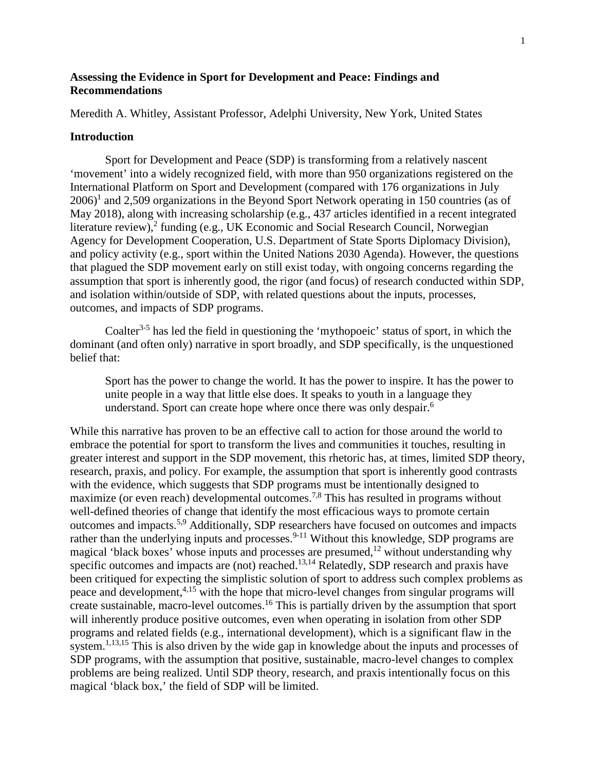# **Assessing the Evidence in Sport for Development and Peace: Findings and Recommendations**

Meredith A. Whitley, Assistant Professor, Adelphi University, New York, United States

#### **Introduction**

Sport for Development and Peace (SDP) is transforming from a relatively nascent 'movement' into a widely recognized field, with more than 950 organizations registered on the International Platform on Sport and Development (compared with 176 organizations in July  $2006$ <sup>1</sup> and 2,509 organizations in the Beyond Sport Network operating in 150 countries (as of May 2018), along with increasing scholarship (e.g., 437 articles identified in a recent integrated literature review), <sup>2</sup> funding (e.g., UK Economic and Social Research Council, Norwegian Agency for Development Cooperation, U.S. Department of State Sports Diplomacy Division), and policy activity (e.g., sport within the United Nations 2030 Agenda). However, the questions that plagued the SDP movement early on still exist today, with ongoing concerns regarding the assumption that sport is inherently good, the rigor (and focus) of research conducted within SDP, and isolation within/outside of SDP, with related questions about the inputs, processes, outcomes, and impacts of SDP programs.

Coalter<sup>3-5</sup> has led the field in questioning the 'mythopoeic' status of sport, in which the dominant (and often only) narrative in sport broadly, and SDP specifically, is the unquestioned belief that:

Sport has the power to change the world. It has the power to inspire. It has the power to unite people in a way that little else does. It speaks to youth in a language they understand. Sport can create hope where once there was only despair.<sup>6</sup>

While this narrative has proven to be an effective call to action for those around the world to embrace the potential for sport to transform the lives and communities it touches, resulting in greater interest and support in the SDP movement, this rhetoric has, at times, limited SDP theory, research, praxis, and policy. For example, the assumption that sport is inherently good contrasts with the evidence, which suggests that SDP programs must be intentionally designed to maximize (or even reach) developmental outcomes.<sup>7,8</sup> This has resulted in programs without well-defined theories of change that identify the most efficacious ways to promote certain outcomes and impacts.5,9 Additionally, SDP researchers have focused on outcomes and impacts rather than the underlying inputs and processes.<sup>9-11</sup> Without this knowledge, SDP programs are magical 'black boxes' whose inputs and processes are presumed,  $^{12}$  without understanding why specific outcomes and impacts are (not) reached.<sup>13,14</sup> Relatedly, SDP research and praxis have been critiqued for expecting the simplistic solution of sport to address such complex problems as peace and development,<sup>4,15</sup> with the hope that micro-level changes from singular programs will create sustainable, macro-level outcomes.<sup>16</sup> This is partially driven by the assumption that sport will inherently produce positive outcomes, even when operating in isolation from other SDP programs and related fields (e.g., international development), which is a significant flaw in the system.<sup>1,13,15</sup> This is also driven by the wide gap in knowledge about the inputs and processes of SDP programs, with the assumption that positive, sustainable, macro-level changes to complex problems are being realized. Until SDP theory, research, and praxis intentionally focus on this magical 'black box,' the field of SDP will be limited.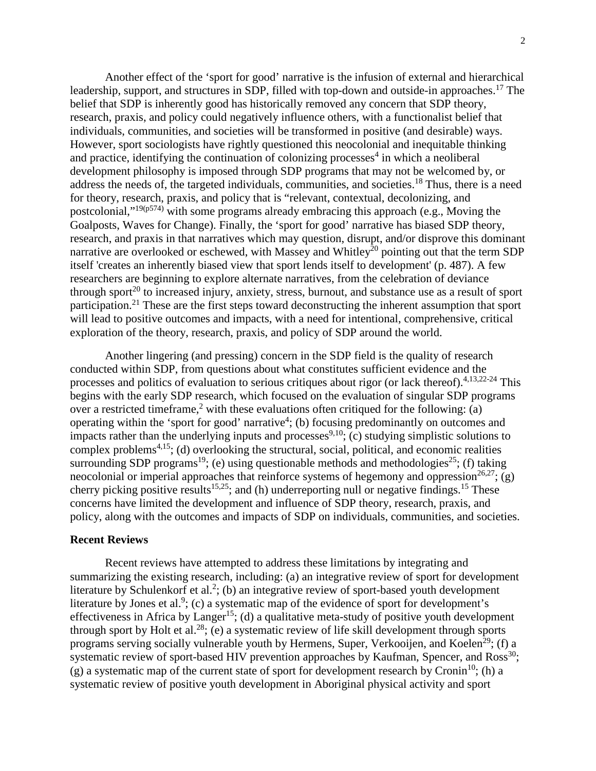Another effect of the 'sport for good' narrative is the infusion of external and hierarchical leadership, support, and structures in SDP, filled with top-down and outside-in approaches.<sup>17</sup> The belief that SDP is inherently good has historically removed any concern that SDP theory, research, praxis, and policy could negatively influence others, with a functionalist belief that individuals, communities, and societies will be transformed in positive (and desirable) ways. However, sport sociologists have rightly questioned this neocolonial and inequitable thinking and practice, identifying the continuation of colonizing processes<sup>4</sup> in which a neoliberal development philosophy is imposed through SDP programs that may not be welcomed by, or address the needs of, the targeted individuals, communities, and societies.<sup>18</sup> Thus, there is a need for theory, research, praxis, and policy that is "relevant, contextual, decolonizing, and postcolonial,"<sup>19(p574)</sup> with some programs already embracing this approach (e.g., Moving the Goalposts, Waves for Change). Finally, the 'sport for good' narrative has biased SDP theory, research, and praxis in that narratives which may question, disrupt, and/or disprove this dominant narrative are overlooked or eschewed, with Massey and Whitley<sup>20</sup> pointing out that the term SDP itself 'creates an inherently biased view that sport lends itself to development' (p. 487). A few researchers are beginning to explore alternate narratives, from the celebration of deviance through sport<sup>20</sup> to increased injury, anxiety, stress, burnout, and substance use as a result of sport participation.<sup>21</sup> These are the first steps toward deconstructing the inherent assumption that sport will lead to positive outcomes and impacts, with a need for intentional, comprehensive, critical exploration of the theory, research, praxis, and policy of SDP around the world.

Another lingering (and pressing) concern in the SDP field is the quality of research conducted within SDP, from questions about what constitutes sufficient evidence and the processes and politics of evaluation to serious critiques about rigor (or lack thereof).<sup>4,13,22-24</sup> This begins with the early SDP research, which focused on the evaluation of singular SDP programs over a restricted timeframe,<sup>2</sup> with these evaluations often critiqued for the following: (a) operating within the 'sport for good' narrative<sup>4</sup>; (b) focusing predominantly on outcomes and impacts rather than the underlying inputs and processes  $9,10$ ; (c) studying simplistic solutions to complex problems<sup> $4,15$ </sup>; (d) overlooking the structural, social, political, and economic realities surrounding SDP programs<sup>19</sup>; (e) using questionable methods and methodologies<sup>25</sup>; (f) taking neocolonial or imperial approaches that reinforce systems of hegemony and oppression<sup>26,27</sup>; (g) cherry picking positive results<sup>15,25</sup>; and (h) underreporting null or negative findings.<sup>15</sup> These concerns have limited the development and influence of SDP theory, research, praxis, and policy, along with the outcomes and impacts of SDP on individuals, communities, and societies.

#### **Recent Reviews**

Recent reviews have attempted to address these limitations by integrating and summarizing the existing research, including: (a) an integrative review of sport for development literature by Schulenkorf et al.<sup>2</sup>; (b) an integrative review of sport-based youth development literature by Jones et al.<sup>9</sup>; (c) a systematic map of the evidence of sport for development's effectiveness in Africa by Langer<sup>15</sup>; (d) a qualitative meta-study of positive youth development through sport by Holt et al.<sup>28</sup>; (e) a systematic review of life skill development through sports programs serving socially vulnerable youth by Hermens, Super, Verkooijen, and Koelen<sup>29</sup>; (f) a systematic review of sport-based HIV prevention approaches by Kaufman, Spencer, and  $Ross^{30}$ ; (g) a systematic map of the current state of sport for development research by Cronin<sup>10</sup>; (h) a systematic review of positive youth development in Aboriginal physical activity and sport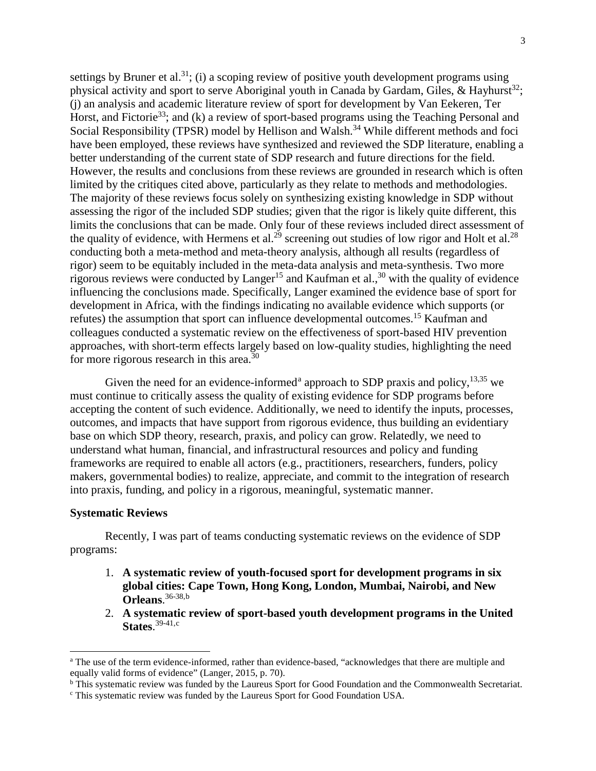settings by Bruner et al.<sup>31</sup>; (i) a scoping review of positive youth development programs using physical activity and sport to serve Aboriginal youth in Canada by Gardam, Giles, & Hayhurst<sup>32</sup>; (j) an analysis and academic literature review of sport for development by Van Eekeren, Ter Horst, and Fictorie<sup>33</sup>; and (k) a review of sport-based programs using the Teaching Personal and Social Responsibility (TPSR) model by Hellison and Walsh.<sup>34</sup> While different methods and foci have been employed, these reviews have synthesized and reviewed the SDP literature, enabling a better understanding of the current state of SDP research and future directions for the field. However, the results and conclusions from these reviews are grounded in research which is often limited by the critiques cited above, particularly as they relate to methods and methodologies. The majority of these reviews focus solely on synthesizing existing knowledge in SDP without assessing the rigor of the included SDP studies; given that the rigor is likely quite different, this limits the conclusions that can be made. Only four of these reviews included direct assessment of the quality of evidence, with Hermens et al.<sup>29</sup> screening out studies of low rigor and Holt et al.<sup>28</sup> conducting both a meta-method and meta-theory analysis, although all results (regardless of rigor) seem to be equitably included in the meta-data analysis and meta-synthesis. Two more rigorous reviews were conducted by  $Langer<sup>15</sup>$  and Kaufman et al.,<sup>30</sup> with the quality of evidence influencing the conclusions made. Specifically, Langer examined the evidence base of sport for development in Africa, with the findings indicating no available evidence which supports (or refutes) the assumption that sport can influence developmental outcomes.<sup>15</sup> Kaufman and colleagues conducted a systematic review on the effectiveness of sport-based HIV prevention approaches, with short-term effects largely based on low-quality studies, highlighting the need for more rigorous research in this area. $30<sup>30</sup>$ 

Given the need for [a](#page-2-0)n evidence-informed<sup>a</sup> approach to SDP praxis and policy,  $^{13,35}$  we must continue to critically assess the quality of existing evidence for SDP programs before accepting the content of such evidence. Additionally, we need to identify the inputs, processes, outcomes, and impacts that have support from rigorous evidence, thus building an evidentiary base on which SDP theory, research, praxis, and policy can grow. Relatedly, we need to understand what human, financial, and infrastructural resources and policy and funding frameworks are required to enable all actors (e.g., practitioners, researchers, funders, policy makers, governmental bodies) to realize, appreciate, and commit to the integration of research into praxis, funding, and policy in a rigorous, meaningful, systematic manner.

### **Systematic Reviews**

 $\overline{a}$ 

Recently, I was part of teams conducting systematic reviews on the evidence of SDP programs:

- 1. **A systematic review of youth-focused sport for development programs in six global cities: Cape Town, Hong Kong, London, Mumbai, Nairobi, and New Orleans**. 36-38,[b](#page-2-1)
- 2. **A systematic review of sport-based youth development programs in the United States**. 39-41,[c](#page-2-2)

<span id="page-2-0"></span><sup>a</sup> The use of the term evidence-informed, rather than evidence-based, "acknowledges that there are multiple and equally valid forms of evidence" (Langer, 2015, p. 70).

<span id="page-2-1"></span><sup>&</sup>lt;sup>b</sup> This systematic review was funded by the Laureus Sport for Good Foundation and the Commonwealth Secretariat.

<span id="page-2-2"></span><sup>c</sup> This systematic review was funded by the Laureus Sport for Good Foundation USA.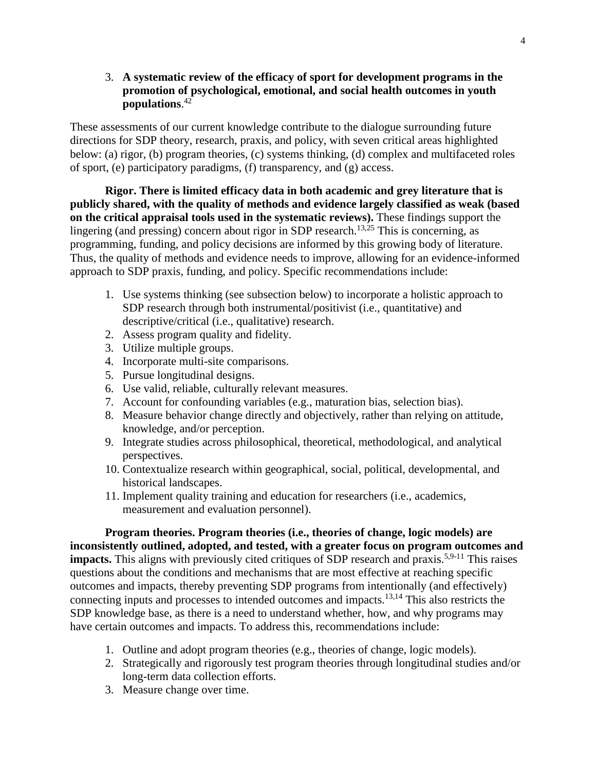3. **A systematic review of the efficacy of sport for development programs in the promotion of psychological, emotional, and social health outcomes in youth populations**. 42

These assessments of our current knowledge contribute to the dialogue surrounding future directions for SDP theory, research, praxis, and policy, with seven critical areas highlighted below: (a) rigor, (b) program theories, (c) systems thinking, (d) complex and multifaceted roles of sport, (e) participatory paradigms, (f) transparency, and (g) access.

**Rigor. There is limited efficacy data in both academic and grey literature that is publicly shared, with the quality of methods and evidence largely classified as weak (based on the critical appraisal tools used in the systematic reviews).** These findings support the lingering (and pressing) concern about rigor in SDP research.<sup>13,25</sup> This is concerning, as programming, funding, and policy decisions are informed by this growing body of literature. Thus, the quality of methods and evidence needs to improve, allowing for an evidence-informed approach to SDP praxis, funding, and policy. Specific recommendations include:

- 1. Use systems thinking (see subsection below) to incorporate a holistic approach to SDP research through both instrumental/positivist (i.e., quantitative) and descriptive/critical (i.e., qualitative) research.
- 2. Assess program quality and fidelity.
- 3. Utilize multiple groups.
- 4. Incorporate multi-site comparisons.
- 5. Pursue longitudinal designs.
- 6. Use valid, reliable, culturally relevant measures.
- 7. Account for confounding variables (e.g., maturation bias, selection bias).
- 8. Measure behavior change directly and objectively, rather than relying on attitude, knowledge, and/or perception.
- 9. Integrate studies across philosophical, theoretical, methodological, and analytical perspectives.
- 10. Contextualize research within geographical, social, political, developmental, and historical landscapes.
- 11. Implement quality training and education for researchers (i.e., academics, measurement and evaluation personnel).

**Program theories. Program theories (i.e., theories of change, logic models) are inconsistently outlined, adopted, and tested, with a greater focus on program outcomes and impacts.** This aligns with previously cited critiques of SDP research and praxis.<sup>5,9-11</sup> This raises questions about the conditions and mechanisms that are most effective at reaching specific outcomes and impacts, thereby preventing SDP programs from intentionally (and effectively) connecting inputs and processes to intended outcomes and impacts.13,14 This also restricts the SDP knowledge base, as there is a need to understand whether, how, and why programs may have certain outcomes and impacts. To address this, recommendations include:

- 1. Outline and adopt program theories (e.g., theories of change, logic models).
- 2. Strategically and rigorously test program theories through longitudinal studies and/or long-term data collection efforts.
- 3. Measure change over time.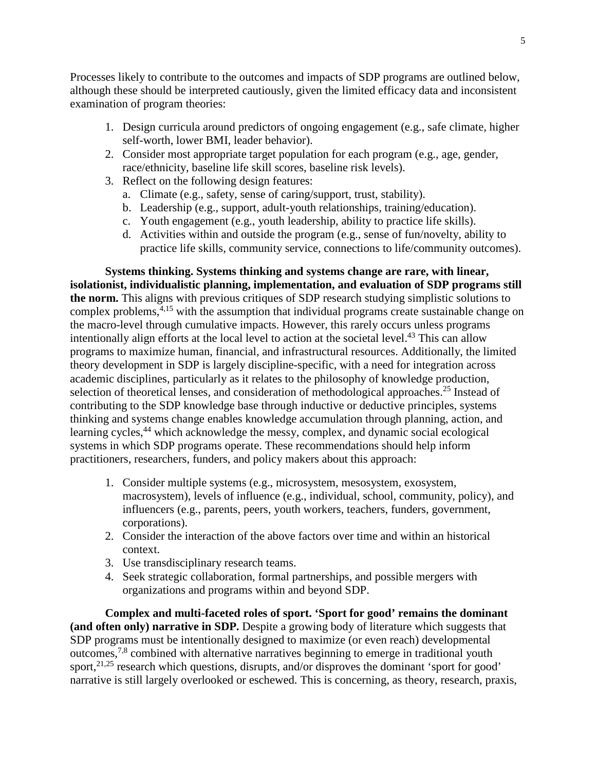Processes likely to contribute to the outcomes and impacts of SDP programs are outlined below, although these should be interpreted cautiously, given the limited efficacy data and inconsistent examination of program theories:

- 1. Design curricula around predictors of ongoing engagement (e.g., safe climate, higher self-worth, lower BMI, leader behavior).
- 2. Consider most appropriate target population for each program (e.g., age, gender, race/ethnicity, baseline life skill scores, baseline risk levels).
- 3. Reflect on the following design features:
	- a. Climate (e.g., safety, sense of caring/support, trust, stability).
	- b. Leadership (e.g., support, adult-youth relationships, training/education).
	- c. Youth engagement (e.g., youth leadership, ability to practice life skills).
	- d. Activities within and outside the program (e.g., sense of fun/novelty, ability to practice life skills, community service, connections to life/community outcomes).

**Systems thinking. Systems thinking and systems change are rare, with linear, isolationist, individualistic planning, implementation, and evaluation of SDP programs still the norm.** This aligns with previous critiques of SDP research studying simplistic solutions to complex problems,<sup>4,15</sup> with the assumption that individual programs create sustainable change on the macro-level through cumulative impacts. However, this rarely occurs unless programs intentionally align efforts at the local level to action at the societal level.<sup>43</sup> This can allow programs to maximize human, financial, and infrastructural resources. Additionally, the limited theory development in SDP is largely discipline-specific, with a need for integration across academic disciplines, particularly as it relates to the philosophy of knowledge production, selection of theoretical lenses, and consideration of methodological approaches.<sup>25</sup> Instead of contributing to the SDP knowledge base through inductive or deductive principles, systems thinking and systems change enables knowledge accumulation through planning, action, and learning cycles,<sup>44</sup> which acknowledge the messy, complex, and dynamic social ecological systems in which SDP programs operate. These recommendations should help inform practitioners, researchers, funders, and policy makers about this approach:

- 1. Consider multiple systems (e.g., microsystem, mesosystem, exosystem, macrosystem), levels of influence (e.g., individual, school, community, policy), and influencers (e.g., parents, peers, youth workers, teachers, funders, government, corporations).
- 2. Consider the interaction of the above factors over time and within an historical context.
- 3. Use transdisciplinary research teams.
- 4. Seek strategic collaboration, formal partnerships, and possible mergers with organizations and programs within and beyond SDP.

**Complex and multi-faceted roles of sport. 'Sport for good' remains the dominant (and often only) narrative in SDP.** Despite a growing body of literature which suggests that SDP programs must be intentionally designed to maximize (or even reach) developmental outcomes,7,8 combined with alternative narratives beginning to emerge in traditional youth sport,<sup>21,25</sup> research which questions, disrupts, and/or disproves the dominant 'sport for good' narrative is still largely overlooked or eschewed. This is concerning, as theory, research, praxis,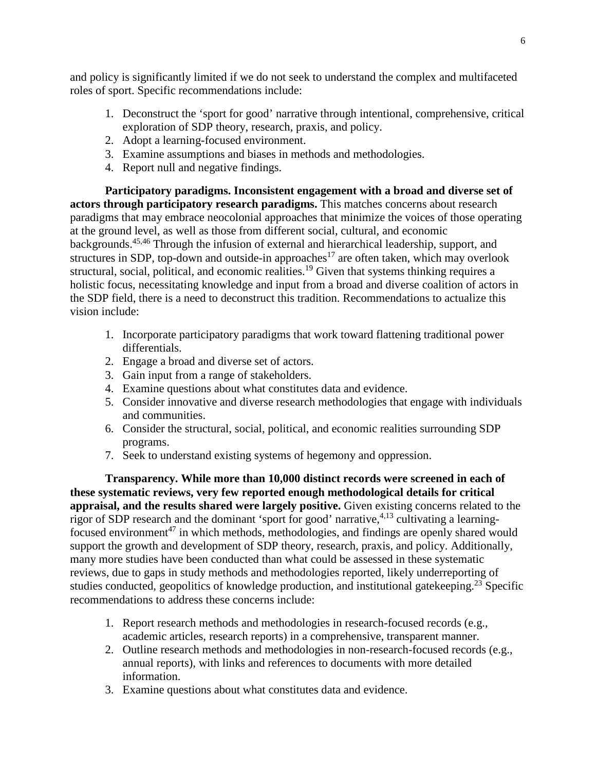and policy is significantly limited if we do not seek to understand the complex and multifaceted roles of sport. Specific recommendations include:

- 1. Deconstruct the 'sport for good' narrative through intentional, comprehensive, critical exploration of SDP theory, research, praxis, and policy.
- 2. Adopt a learning-focused environment.
- 3. Examine assumptions and biases in methods and methodologies.
- 4. Report null and negative findings.

**Participatory paradigms. Inconsistent engagement with a broad and diverse set of actors through participatory research paradigms.** This matches concerns about research paradigms that may embrace neocolonial approaches that minimize the voices of those operating at the ground level, as well as those from different social, cultural, and economic backgrounds.45,46 Through the infusion of external and hierarchical leadership, support, and structures in SDP, top-down and outside-in approaches<sup>17</sup> are often taken, which may overlook structural, social, political, and economic realities.<sup>19</sup> Given that systems thinking requires a holistic focus, necessitating knowledge and input from a broad and diverse coalition of actors in the SDP field, there is a need to deconstruct this tradition. Recommendations to actualize this vision include:

- 1. Incorporate participatory paradigms that work toward flattening traditional power differentials.
- 2. Engage a broad and diverse set of actors.
- 3. Gain input from a range of stakeholders.
- 4. Examine questions about what constitutes data and evidence.
- 5. Consider innovative and diverse research methodologies that engage with individuals and communities.
- 6. Consider the structural, social, political, and economic realities surrounding SDP programs.
- 7. Seek to understand existing systems of hegemony and oppression.

**Transparency. While more than 10,000 distinct records were screened in each of these systematic reviews, very few reported enough methodological details for critical appraisal, and the results shared were largely positive.** Given existing concerns related to the rigor of SDP research and the dominant 'sport for good' narrative,  $4,13$  cultivating a learningfocused environment<sup>47</sup> in which methods, methodologies, and findings are openly shared would support the growth and development of SDP theory, research, praxis, and policy. Additionally, many more studies have been conducted than what could be assessed in these systematic reviews, due to gaps in study methods and methodologies reported, likely underreporting of studies conducted, geopolitics of knowledge production, and institutional gatekeeping.<sup>23</sup> Specific recommendations to address these concerns include:

- 1. Report research methods and methodologies in research-focused records (e.g., academic articles, research reports) in a comprehensive, transparent manner.
- 2. Outline research methods and methodologies in non-research-focused records (e.g., annual reports), with links and references to documents with more detailed information.
- 3. Examine questions about what constitutes data and evidence.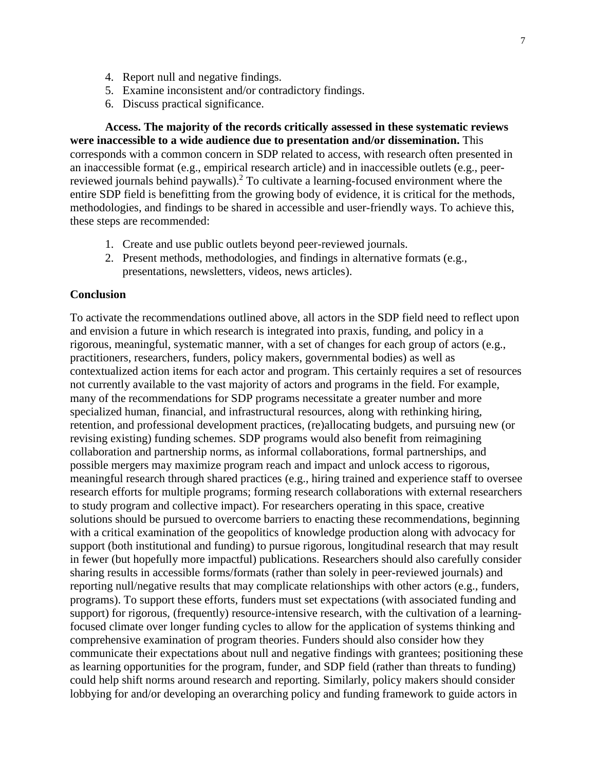- 4. Report null and negative findings.
- 5. Examine inconsistent and/or contradictory findings.
- 6. Discuss practical significance.

**Access. The majority of the records critically assessed in these systematic reviews were inaccessible to a wide audience due to presentation and/or dissemination.** This corresponds with a common concern in SDP related to access, with research often presented in an inaccessible format (e.g., empirical research article) and in inaccessible outlets (e.g., peerreviewed journals behind paywalls).<sup>2</sup> To cultivate a learning-focused environment where the entire SDP field is benefitting from the growing body of evidence, it is critical for the methods, methodologies, and findings to be shared in accessible and user-friendly ways. To achieve this, these steps are recommended:

- 1. Create and use public outlets beyond peer-reviewed journals.
- 2. Present methods, methodologies, and findings in alternative formats (e.g., presentations, newsletters, videos, news articles).

## **Conclusion**

To activate the recommendations outlined above, all actors in the SDP field need to reflect upon and envision a future in which research is integrated into praxis, funding, and policy in a rigorous, meaningful, systematic manner, with a set of changes for each group of actors (e.g., practitioners, researchers, funders, policy makers, governmental bodies) as well as contextualized action items for each actor and program. This certainly requires a set of resources not currently available to the vast majority of actors and programs in the field. For example, many of the recommendations for SDP programs necessitate a greater number and more specialized human, financial, and infrastructural resources, along with rethinking hiring, retention, and professional development practices, (re)allocating budgets, and pursuing new (or revising existing) funding schemes. SDP programs would also benefit from reimagining collaboration and partnership norms, as informal collaborations, formal partnerships, and possible mergers may maximize program reach and impact and unlock access to rigorous, meaningful research through shared practices (e.g., hiring trained and experience staff to oversee research efforts for multiple programs; forming research collaborations with external researchers to study program and collective impact). For researchers operating in this space, creative solutions should be pursued to overcome barriers to enacting these recommendations, beginning with a critical examination of the geopolitics of knowledge production along with advocacy for support (both institutional and funding) to pursue rigorous, longitudinal research that may result in fewer (but hopefully more impactful) publications. Researchers should also carefully consider sharing results in accessible forms/formats (rather than solely in peer-reviewed journals) and reporting null/negative results that may complicate relationships with other actors (e.g., funders, programs). To support these efforts, funders must set expectations (with associated funding and support) for rigorous, (frequently) resource-intensive research, with the cultivation of a learningfocused climate over longer funding cycles to allow for the application of systems thinking and comprehensive examination of program theories. Funders should also consider how they communicate their expectations about null and negative findings with grantees; positioning these as learning opportunities for the program, funder, and SDP field (rather than threats to funding) could help shift norms around research and reporting. Similarly, policy makers should consider lobbying for and/or developing an overarching policy and funding framework to guide actors in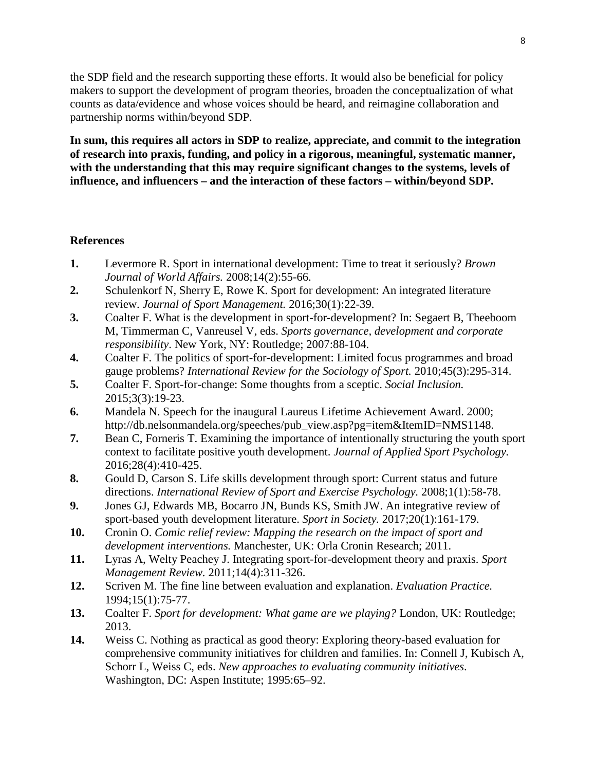the SDP field and the research supporting these efforts. It would also be beneficial for policy makers to support the development of program theories, broaden the conceptualization of what counts as data/evidence and whose voices should be heard, and reimagine collaboration and partnership norms within/beyond SDP.

**In sum, this requires all actors in SDP to realize, appreciate, and commit to the integration of research into praxis, funding, and policy in a rigorous, meaningful, systematic manner, with the understanding that this may require significant changes to the systems, levels of influence, and influencers – and the interaction of these factors – within/beyond SDP.**

# **References**

- **1.** Levermore R. Sport in international development: Time to treat it seriously? *Brown Journal of World Affairs.* 2008;14(2):55-66.
- **2.** Schulenkorf N, Sherry E, Rowe K. Sport for development: An integrated literature review. *Journal of Sport Management.* 2016;30(1):22-39.
- **3.** Coalter F. What is the development in sport-for-development? In: Segaert B, Theeboom M, Timmerman C, Vanreusel V, eds. *Sports governance, development and corporate responsibility*. New York, NY: Routledge; 2007:88-104.
- **4.** Coalter F. The politics of sport-for-development: Limited focus programmes and broad gauge problems? *International Review for the Sociology of Sport.* 2010;45(3):295-314.
- **5.** Coalter F. Sport-for-change: Some thoughts from a sceptic. *Social Inclusion.*  2015;3(3):19-23.
- **6.** Mandela N. Speech for the inaugural Laureus Lifetime Achievement Award. 2000; http://db.nelsonmandela.org/speeches/pub\_view.asp?pg=item&ItemID=NMS1148.
- **7.** Bean C, Forneris T. Examining the importance of intentionally structuring the youth sport context to facilitate positive youth development. *Journal of Applied Sport Psychology.*  2016;28(4):410-425.
- **8.** Gould D, Carson S. Life skills development through sport: Current status and future directions. *International Review of Sport and Exercise Psychology.* 2008;1(1):58-78.
- **9.** Jones GJ, Edwards MB, Bocarro JN, Bunds KS, Smith JW. An integrative review of sport-based youth development literature. *Sport in Society.* 2017;20(1):161-179.
- **10.** Cronin O. *Comic relief review: Mapping the research on the impact of sport and development interventions.* Manchester, UK: Orla Cronin Research; 2011.
- **11.** Lyras A, Welty Peachey J. Integrating sport-for-development theory and praxis. *Sport Management Review.* 2011;14(4):311-326.
- **12.** Scriven M. The fine line between evaluation and explanation. *Evaluation Practice.*  1994;15(1):75-77.
- **13.** Coalter F. *Sport for development: What game are we playing?* London, UK: Routledge; 2013.
- **14.** Weiss C. Nothing as practical as good theory: Exploring theory-based evaluation for comprehensive community initiatives for children and families. In: Connell J, Kubisch A, Schorr L, Weiss C, eds. *New approaches to evaluating community initiatives*. Washington, DC: Aspen Institute; 1995:65–92.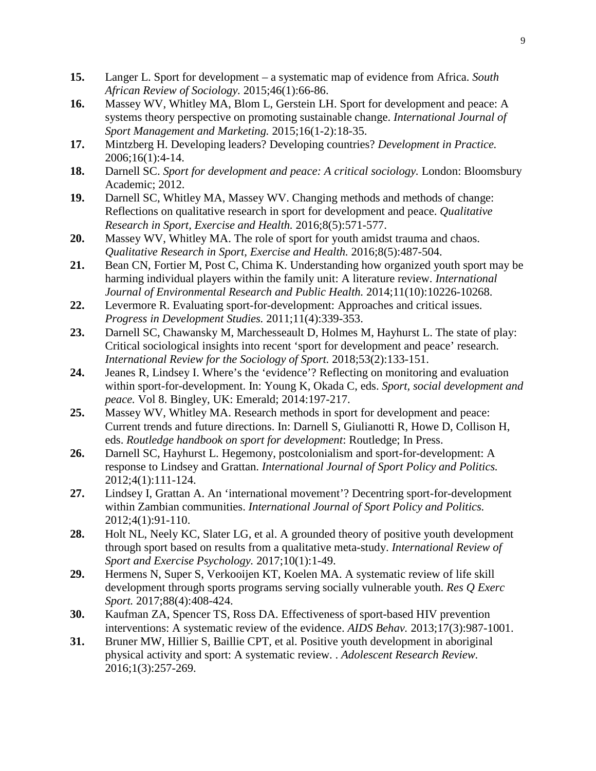- **15.** Langer L. Sport for development a systematic map of evidence from Africa. *South African Review of Sociology.* 2015;46(1):66-86.
- **16.** Massey WV, Whitley MA, Blom L, Gerstein LH. Sport for development and peace: A systems theory perspective on promoting sustainable change. *International Journal of Sport Management and Marketing.* 2015;16(1-2):18-35.
- **17.** Mintzberg H. Developing leaders? Developing countries? *Development in Practice.*  2006;16(1):4-14.
- **18.** Darnell SC. *Sport for development and peace: A critical sociology.* London: Bloomsbury Academic; 2012.
- **19.** Darnell SC, Whitley MA, Massey WV. Changing methods and methods of change: Reflections on qualitative research in sport for development and peace. *Qualitative Research in Sport, Exercise and Health.* 2016;8(5):571-577.
- **20.** Massey WV, Whitley MA. The role of sport for youth amidst trauma and chaos. *Qualitative Research in Sport, Exercise and Health.* 2016;8(5):487-504.
- **21.** Bean CN, Fortier M, Post C, Chima K. Understanding how organized youth sport may be harming individual players within the family unit: A literature review. *International Journal of Environmental Research and Public Health.* 2014;11(10):10226-10268.
- **22.** Levermore R. Evaluating sport-for-development: Approaches and critical issues. *Progress in Development Studies.* 2011;11(4):339-353.
- **23.** Darnell SC, Chawansky M, Marchesseault D, Holmes M, Hayhurst L. The state of play: Critical sociological insights into recent 'sport for development and peace' research. *International Review for the Sociology of Sport.* 2018;53(2):133-151.
- **24.** Jeanes R, Lindsey I. Where's the 'evidence'? Reflecting on monitoring and evaluation within sport-for-development. In: Young K, Okada C, eds. *Sport, social development and peace.* Vol 8. Bingley, UK: Emerald; 2014:197-217.
- **25.** Massey WV, Whitley MA. Research methods in sport for development and peace: Current trends and future directions. In: Darnell S, Giulianotti R, Howe D, Collison H, eds. *Routledge handbook on sport for development*: Routledge; In Press.
- **26.** Darnell SC, Hayhurst L. Hegemony, postcolonialism and sport-for-development: A response to Lindsey and Grattan. *International Journal of Sport Policy and Politics.*  2012;4(1):111-124.
- **27.** Lindsey I, Grattan A. An 'international movement'? Decentring sport-for-development within Zambian communities. *International Journal of Sport Policy and Politics.*  2012;4(1):91-110.
- **28.** Holt NL, Neely KC, Slater LG, et al. A grounded theory of positive youth development through sport based on results from a qualitative meta-study. *International Review of Sport and Exercise Psychology.* 2017;10(1):1-49.
- **29.** Hermens N, Super S, Verkooijen KT, Koelen MA. A systematic review of life skill development through sports programs serving socially vulnerable youth. *Res Q Exerc Sport.* 2017;88(4):408-424.
- **30.** Kaufman ZA, Spencer TS, Ross DA. Effectiveness of sport-based HIV prevention interventions: A systematic review of the evidence. *AIDS Behav.* 2013;17(3):987-1001.
- **31.** Bruner MW, Hillier S, Baillie CPT, et al. Positive youth development in aboriginal physical activity and sport: A systematic review. . *Adolescent Research Review.*  2016;1(3):257-269.